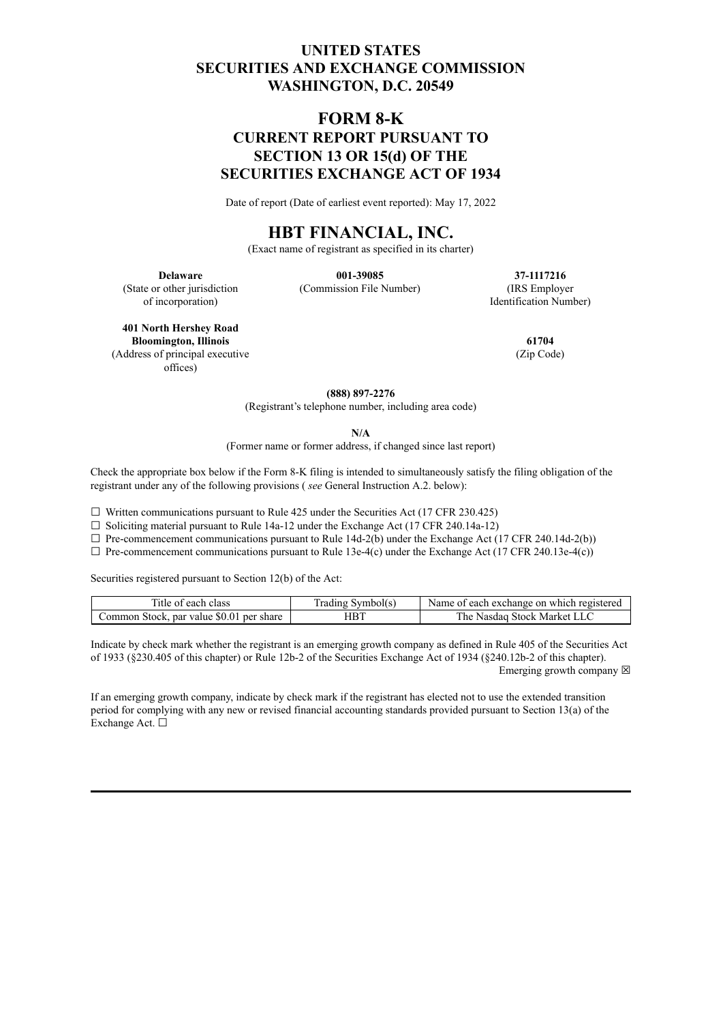## **UNITED STATES SECURITIES AND EXCHANGE COMMISSION WASHINGTON, D.C. 20549**

# **FORM 8-K CURRENT REPORT PURSUANT TO SECTION 13 OR 15(d) OF THE SECURITIES EXCHANGE ACT OF 1934**

Date of report (Date of earliest event reported): May 17, 2022

## **HBT FINANCIAL, INC.**

(Exact name of registrant as specified in its charter)

(State or other jurisdiction of incorporation)

**Delaware 001-39085 37-1117216** (Commission File Number) (IRS Employer

Identification Number)

**401 North Hershey Road Bloomington, Illinois 61704** (Address of principal executive offices)

(Zip Code)

**(888) 897-2276**

(Registrant's telephone number, including area code)

**N/A**

(Former name or former address, if changed since last report)

Check the appropriate box below if the Form 8-K filing is intended to simultaneously satisfy the filing obligation of the registrant under any of the following provisions ( *see* General Instruction A.2. below):

 $\Box$  Written communications pursuant to Rule 425 under the Securities Act (17 CFR 230.425)

 $\Box$  Soliciting material pursuant to Rule 14a-12 under the Exchange Act (17 CFR 240.14a-12)

 $\Box$  Pre-commencement communications pursuant to Rule 14d-2(b) under the Exchange Act (17 CFR 240.14d-2(b))

 $\Box$  Pre-commencement communications pursuant to Rule 13e-4(c) under the Exchange Act (17 CFR 240.13e-4(c))

Securities registered pursuant to Section 12(b) of the Act:

| Title of each class                      | Trading Symbol(s) | Name of each exchange on which registered |
|------------------------------------------|-------------------|-------------------------------------------|
| Common Stock, par value \$0.01 per share | HBT               | The Nasdag Stock Market LLC               |

Indicate by check mark whether the registrant is an emerging growth company as defined in Rule 405 of the Securities Act of 1933 (§230.405 of this chapter) or Rule 12b-2 of the Securities Exchange Act of 1934 (§240.12b-2 of this chapter). Emerging growth company  $\boxtimes$ 

If an emerging growth company, indicate by check mark if the registrant has elected not to use the extended transition period for complying with any new or revised financial accounting standards provided pursuant to Section 13(a) of the Exchange Act. ☐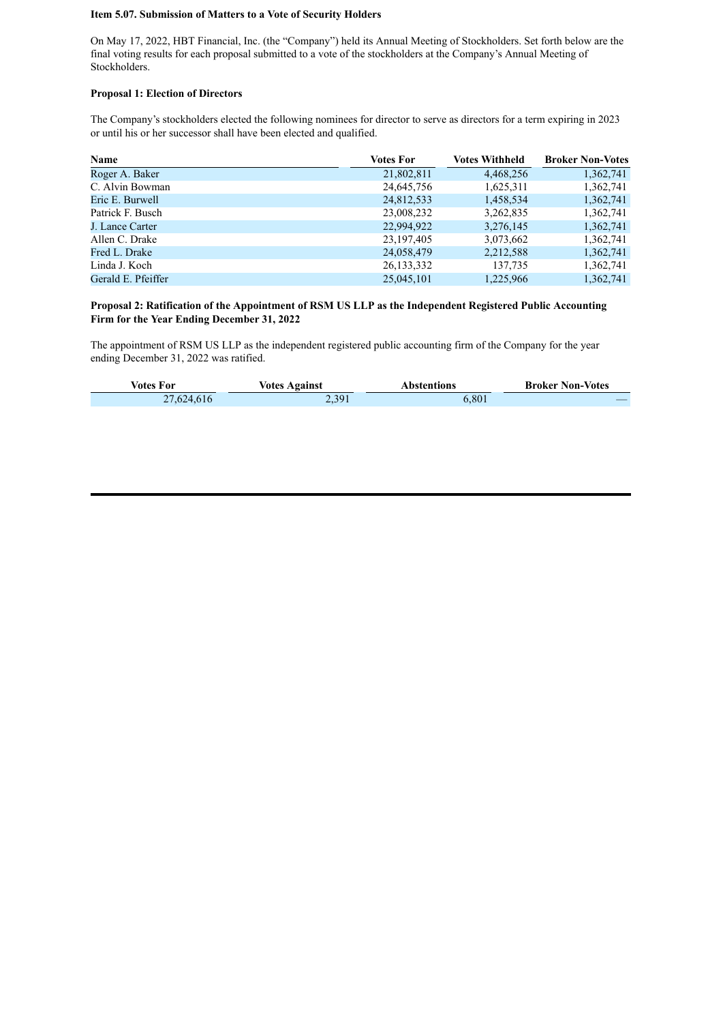#### **Item 5.07. Submission of Matters to a Vote of Security Holders**

On May 17, 2022, HBT Financial, Inc. (the "Company") held its Annual Meeting of Stockholders. Set forth below are the final voting results for each proposal submitted to a vote of the stockholders at the Company's Annual Meeting of Stockholders.

#### **Proposal 1: Election of Directors**

The Company's stockholders elected the following nominees for director to serve as directors for a term expiring in 2023 or until his or her successor shall have been elected and qualified.

| <b>Name</b>        | <b>Votes For</b> | <b>Votes Withheld</b> | <b>Broker Non-Votes</b> |
|--------------------|------------------|-----------------------|-------------------------|
| Roger A. Baker     | 21,802,811       | 4,468,256             | 1,362,741               |
| C. Alvin Bowman    | 24,645,756       | 1,625,311             | 1,362,741               |
| Eric E. Burwell    | 24,812,533       | 1,458,534             | 1,362,741               |
| Patrick F. Busch   | 23,008,232       | 3,262,835             | 1,362,741               |
| J. Lance Carter    | 22,994,922       | 3,276,145             | 1,362,741               |
| Allen C. Drake     | 23, 197, 405     | 3,073,662             | 1,362,741               |
| Fred L. Drake      | 24,058,479       | 2,212,588             | 1,362,741               |
| Linda J. Koch      | 26, 133, 332     | 137,735               | 1,362,741               |
| Gerald E. Pfeiffer | 25,045,101       | 1,225,966             | 1,362,741               |

#### **Proposal 2: Ratification of the Appointment of RSM US LLP as the Independent Registered Public Accounting Firm for the Year Ending December 31, 2022**

The appointment of RSM US LLP as the independent registered public accounting firm of the Company for the year ending December 31, 2022 was ratified.

| Votes For  | <b>Votes Against</b> | Abstentions | <b>Broker Non-Votes</b> |
|------------|----------------------|-------------|-------------------------|
| 27,624,616 | 2,391                | 6,801       |                         |